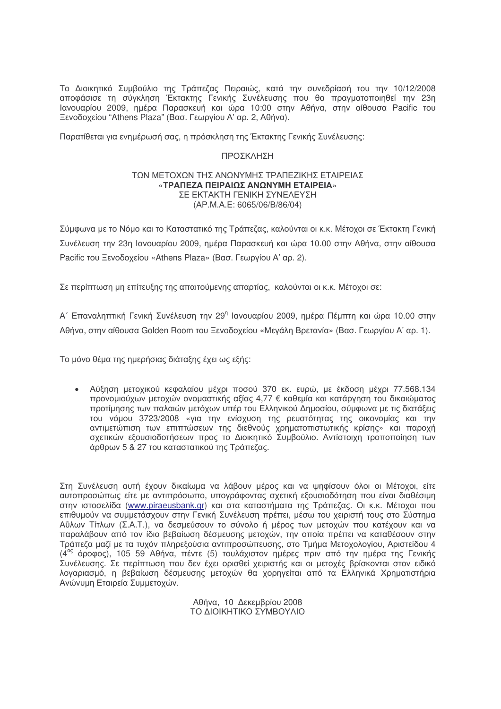Το Διοικητικό Συμβούλιο της Τράπεζας Πειραιώς, κατά την συνεδρίασή του την 10/12/2008 αποφάσισε τη σύγκληση Έκτακτης Γενικής Συνέλευσης που θα πραγματοποιηθεί την 23η Ιανουαρίου 2009, ημέρα Παρασκευή και ώρα 10:00 στην Αθήνα, στην αίθουσα Pacific του Ξενοδοχείου "Athens Plaza" (Βασ. Γεωργίου Α' αρ. 2, Αθήνα).

Παρατίθεται νια ενημέρωσή σας, η πρόσκληση της Έκτακτης Γενικής Συνέλευσης;

## ΠΡΟΣΚΛΗΣΗ

## ΤΟΝ ΜΕΤΟΧΟΝ ΤΗΣ ΑΝΟΝΥΜΗΣ ΤΡΑΠΕΖΙΚΗΣ ΕΤΑΙΡΕΙΑΣ «ΤΡΑΠΕΖΑ ΠΕΙΡΑΙΩΣ ΑΝΩΝΥΜΗ ΕΤΑΙΡΕΙΑ» ΣΕ ΕΚΤΑΚΤΗ ΓΕΝΙΚΗ ΣΥΝΕΛΕΥΣΗ (AP.M.A.E: 6065/06/B/86/04)

Σύμφωνα με το Νόμο και το Καταστατικό της Τράπεζας, καλούνται οι κ.κ. Μέτοχοι σε Έκτακτη Γενική Συνέλευση την 23η Ιανουαρίου 2009, ημέρα Παρασκευή και ώρα 10.00 στην Αθήνα, στην αίθουσα Pacific του Ξενοδοχείου «Athens Plaza» (Βασ. Γεωργίου Α' αρ. 2).

Σε περίπτωση μη επίτευξης της απαιτούμενης απαρτίας, καλούνται οι κ.κ. Μέτοχοι σε:

Α΄ Επαναληπτική Γενική Συνέλευση την 29η Ιανουαρίου 2009, ημέρα Πέμπτη και ώρα 10.00 στην Αθήνα, στην αίθουσα Golden Room του Ξενοδοχείου «Μεγάλη Βρετανία» (Βασ. Γεωργίου Α' αρ. 1).

Το μόνο θέμα της ημερήσιας διάταξης έχει ως εξής:

• Αύξηση μετοχικού κεφαλαίου μέχρι ποσού 370 εκ. ευρώ, με έκδοση μέχρι 77.568.134 προνομιούχων μετοχών ονομαστικής αξίας 4,77 € καθεμία και κατάργηση του δικαιώματος προτίμησης των παλαιών μετόχων υπέρ του Ελληνικού Δημοσίου, σύμφωνα με τις διατάξεις του νόμου 3723/2008 «για την ενίσχυση της ρευστότητας της οικονομίας και την αντιμετώπιση των επιπτώσεων της διεθνούς χρηματοπιστωτικής κρίσης» και παροχή σχετικών εξουσιοδοτήσεων προς το Διοικητικό Συμβούλιο. Αντίστοιχη τροποποίηση των άρθρων 5 & 27 του καταστατικού της Τράπεζας.

Στη Συνέλευση αυτή έχουν δικαίωμα να λάβουν μέρος και να ψηφίσουν όλοι οι Μέτοχοι, είτε αυτοπροσώπως είτε με αντιπρόσωπο, υπογράφοντας σχετική εξουσιοδότηση που είναι διαθέσιμη στην ιστοσελίδα (www.piraeusbank.gr) και στα καταστήματα της Τράπεζας. Οι κ.κ. Μέτοχοι που επιθυμούν να συμμετάσχουν στην Γενική Συνέλευση πρέπει, μέσω του χειριστή τους στο Σύστημα Αΰλων Τίτλων (Σ.Α.Τ.), να δεσμεύσουν το σύνολο ή μέρος των μετοχών που κατέχουν και να παραλάβουν από τον ίδιο βεβαίωση δέσμευσης μετοχών, την οποία πρέπει να καταθέσουν στην Τράπεζα μαζί με τα τυχόν πληρεξούσια αντιπροσώπευσης, στο Τμήμα Μετοχολογίου, Αριστείδου 4 (4° όροφος), 105 59 Αθήνα, πέντε (5) τουλάχιστον ημέρες πριν από την ημέρα της Γενικής Συνέλευσης. Σε περίπτωση που δεν έχει ορισθεί χειριστής και οι μετοχές βρίσκονται στον ειδικό λογαριασμό, η βεβαίωση δέσμευσης μετοχών θα χορηγείται από τα Ελληνικά Χρηματιστήρια Ανώνυμη Εταιρεία Συμμετοχών.

> Αθήνα, 10 Δεκεμβρίου 2008 ΤΟ ΔΙΟΙΚΗΤΙΚΟ ΣΥΜΒΟΥΛΙΟ